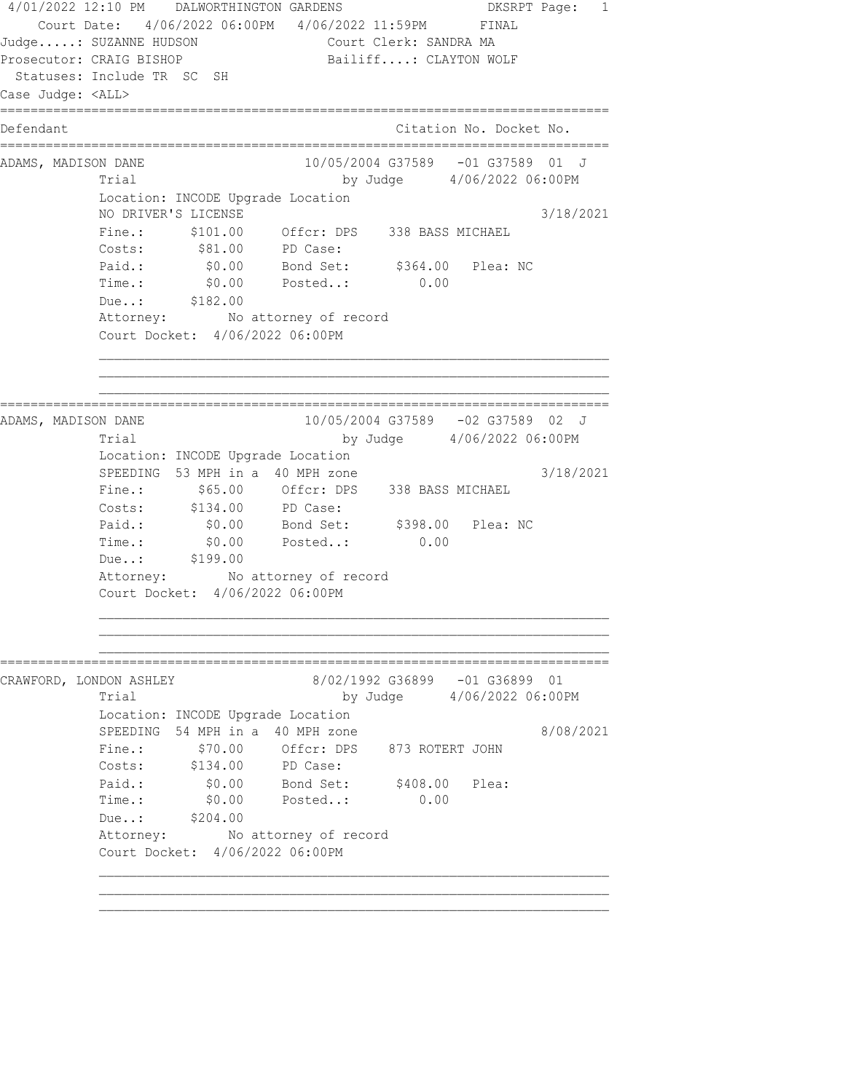4/01/2022 12:10 PM DALWORTHINGTON GARDENS DKSRPT Page: 1 Court Date: 4/06/2022 06:00PM 4/06/2022 11:59PM FINAL Judge.....: SUZANNE HUDSON Court Clerk: SANDRA MA Prosecutor: CRAIG BISHOP Bailiff....: CLAYTON WOLF Statuses: Include TR SC SH Case Judge: <ALL> ================================================================================ Defendant Citation No. Docket No. ================================================================================ ADAMS, MADISON DANE 10/05/2004 G37589 -01 G37589 01 J Trial by Judge  $4/06/2022 06:00PM$  Location: INCODE Upgrade Location NO DRIVER'S LICENSE 2021 Fine.: \$101.00 Offcr: DPS 338 BASS MICHAEL Costs:  $$81.00$  PD Case: Paid.: \$0.00 Bond Set: \$364.00 Plea: NC Time.:  $$0.00$  Posted..: 0.00 Due..: \$182.00 Attorney: No attorney of record Court Docket: 4/06/2022 06:00PM ================================================================================ ADAMS, MADISON DANE 10/05/2004 G37589 -02 G37589 02 J Trial by Judge  $4/06/2022$  06:00PM Location: INCODE Upgrade Location SPEEDING 53 MPH in a 40 MPH zone 3/18/2021<br>Fine.: \$65.00 Offcr: DPS 338 BASS MICHAEL Fine.: \$65.00 Offcr: DPS 338 BASS MICHAEL Costs: \$134.00 PD Case: Paid.: \$0.00 Bond Set: \$398.00 Plea: NC Time.: \$0.00 Posted..: 0.00 Due..: \$199.00 Attorney: No attorney of record Court Docket: 4/06/2022 06:00PM ================================================================================ CRAWFORD, LONDON ASHLEY 8/02/1992 G36899 -01 G36899 01 Trial by Judge  $4/06/2022$  06:00PM Location: INCODE Upgrade Location SPEEDING 54 MPH in a 40 MPH zone  $8/08/2021$  Fine.: \$70.00 Offcr: DPS 873 ROTERT JOHN Costs: \$134.00 PD Case: Paid.:  $$0.00$  Bond Set:  $$408.00$  Plea:<br>Time.:  $$0.00$  Posted..: 0.00 Palu.. <br>Time.: \$0.00 Posted..: 0.00 TIME.: \$0.00<br>Due..: \$204.00<br>Attorney: No No attorney of record Court Docket: 4/06/2022 06:00PM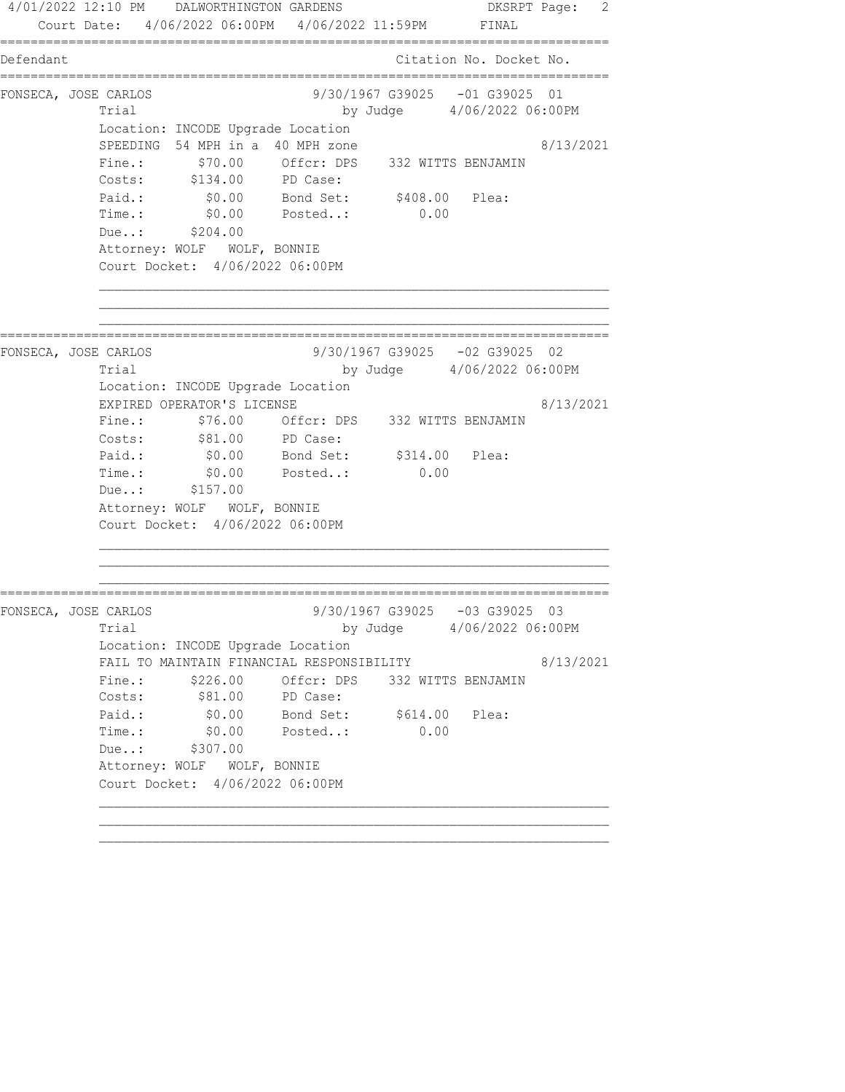4/01/2022 12:10 PM DALWORTHINGTON GARDENS DKSRPT Page: 2 Court Date: 4/06/2022 06:00PM 4/06/2022 11:59PM FINAL ================================================================================ Defendant Citation No. Docket No. ================================================================================ FONSECA, JOSE CARLOS 9/30/1967 G39025 -01 G39025 01 Trial by Judge 4/06/2022 06:00PM Location: INCODE Upgrade Location SPEEDING 54 MPH in a 40 MPH zone 8/13/2021 Fine.: \$70.00 Offcr: DPS 332 WITTS BENJAMIN Costs: \$134.00 PD Case: Paid.: \$0.00 Bond Set: \$408.00 Plea: Time.: \$0.00 Posted..: 0.00 Due..: \$204.00 Attorney: WOLF WOLF, BONNIE Court Docket: 4/06/2022 06:00PM ================================================================================ FONSECA, JOSE CARLOS 9/30/1967 G39025 -02 G39025 02 Trial by Judge 4/06/2022 06:00PM Location: INCODE Upgrade Location EXPIRED OPERATOR'S LICENSE 8/13/2021 Fine.:  $$76.00$  Offcr: DPS 332 WITTS BENJAMIN Costs: \$81.00 PD Case: Paid.:  $\$0.00$  Bond Set:  $\$314.00$  Plea: Time.:  $$0.00$  Posted..: 0.00 Due..: \$157.00 Attorney: WOLF WOLF, BONNIE Court Docket: 4/06/2022 06:00PM ================================================================================ FONSECA, JOSE CARLOS 9/30/1967 G39025 -03 G39025 03 Trial by Judge  $4/06/2022$  06:00PM Location: INCODE Upgrade Location FAIL TO MAINTAIN FINANCIAL RESPONSIBILITY 8/13/2021 Fine.:  $$226.00$  Offcr: DPS 332 WITTS BENJAMIN Costs: \$81.00 PD Case: Paid.:  $$0.00$  Bond Set:  $$614.00$  Plea: Time.:  $$0.00$  Posted..: 0.00 Due..: \$307.00 Attorney: WOLF WOLF, BONNIE Court Docket: 4/06/2022 06:00PM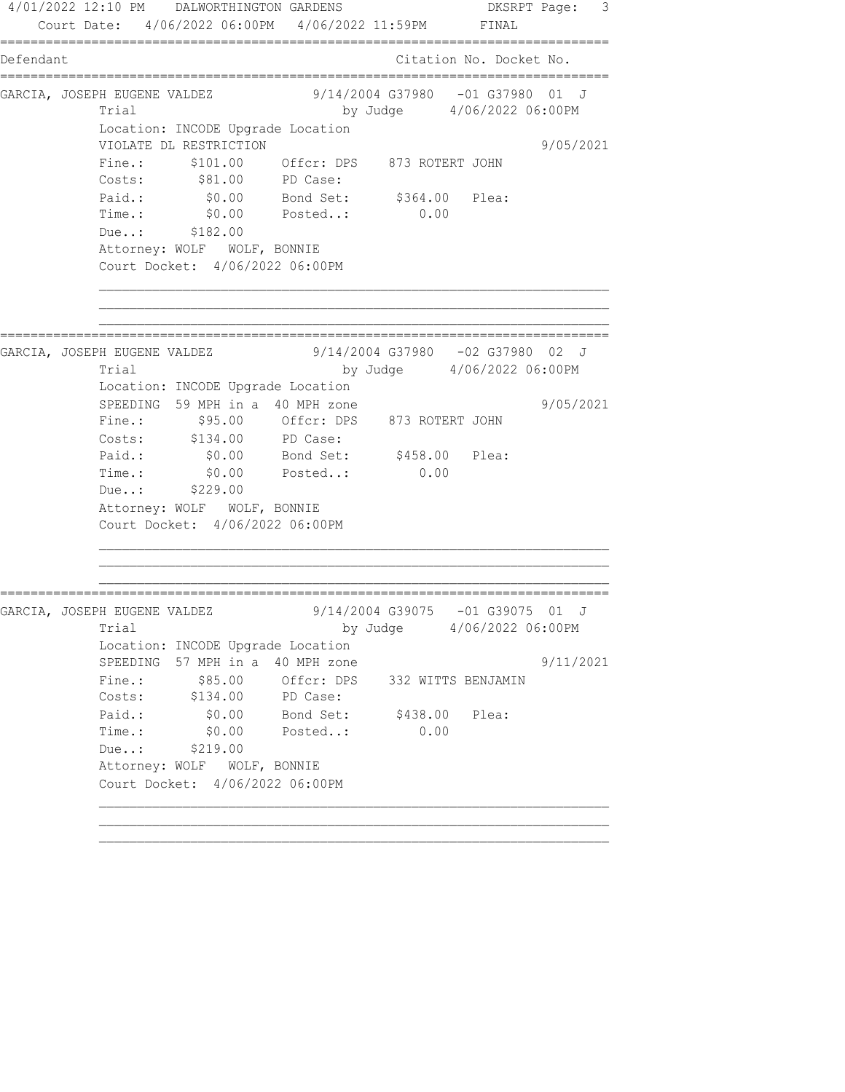4/01/2022 12:10 PM DALWORTHINGTON GARDENS DKSRPT Page: 3 Court Date: 4/06/2022 06:00PM 4/06/2022 11:59PM FINAL ================================================================================ Defendant Citation No. Docket No. ================================================================================ GARCIA, JOSEPH EUGENE VALDEZ 3/14/2004 G37980 -01 G37980 01 J Trial by Judge 4/06/2022 06:00PM Location: INCODE Upgrade Location VIOLATE DL RESTRICTION 9/05/2021 Fine.: \$101.00 Offcr: DPS 873 ROTERT JOHN Costs: \$81.00 PD Case: Paid.: \$0.00 Bond Set: \$364.00 Plea: Time.: \$0.00 Posted..: 0.00 Due..: \$182.00 Attorney: WOLF WOLF, BONNIE Court Docket: 4/06/2022 06:00PM ================================================================================ GARCIA, JOSEPH EUGENE VALDEZ 3/14/2004 G37980 -02 G37980 02 J Trial by Judge 4/06/2022 06:00PM Location: INCODE Upgrade Location SPEEDING 59 MPH in a 40 MPH zone  $9/05/2021$  Fine.: \$95.00 Offcr: DPS 873 ROTERT JOHN Costs: \$134.00 PD Case: Paid.: \$0.00 Bond Set: \$458.00 Plea: Paid.: \$0.00 Bond Set: \$458.00 Plea:<br>Time.: \$0.00 Posted..: 0.00 Due..: \$229.00 Attorney: WOLF WOLF, BONNIE Court Docket: 4/06/2022 06:00PM ================================================================================ GARCIA, JOSEPH EUGENE VALDEZ 3/14/2004 G39075 -01 G39075 01 J Trial by Judge 4/06/2022 06:00PM Location: INCODE Upgrade Location SPEEDING 57 MPH in a 40 MPH zone  $9/11/2021$ Fine.: \$85.00 Offcr: DPS 332 WITTS BENJAMIN Costs: \$134.00 PD Case: Paid.: \$0.00 Bond Set: \$438.00 Plea: Time.: \$0.00 Posted..: 0.00 Due..: \$219.00 Attorney: WOLF WOLF, BONNIE Court Docket: 4/06/2022 06:00PM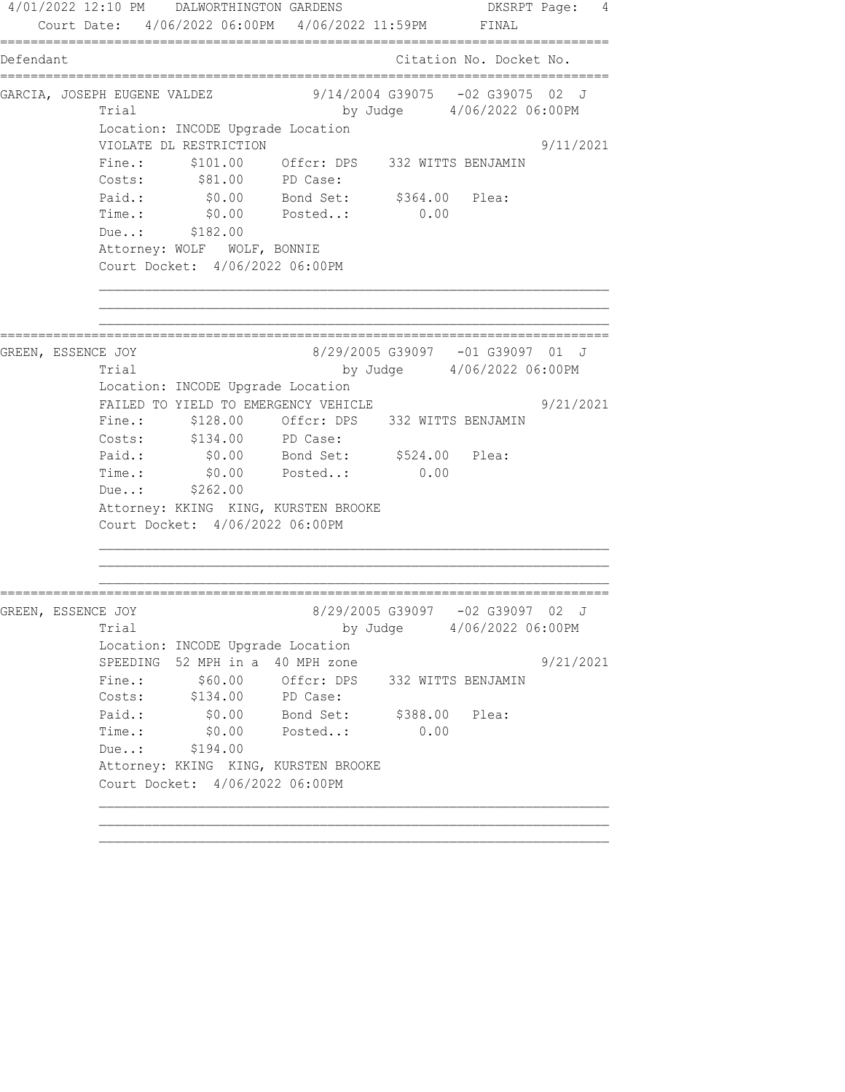4/01/2022 12:10 PM DALWORTHINGTON GARDENS DKSRPT Page: 4 Court Date: 4/06/2022 06:00PM 4/06/2022 11:59PM FINAL ================================================================================ Defendant Citation No. Docket No. ================================================================================ GARCIA, JOSEPH EUGENE VALDEZ 3/14/2004 G39075 -02 G39075 02 J Trial by Judge 4/06/2022 06:00PM Location: INCODE Upgrade Location VIOLATE DL RESTRICTION 9/11/2021 Fine.: \$101.00 Offcr: DPS 332 WITTS BENJAMIN Costs: \$81.00 PD Case: Paid.: \$0.00 Bond Set: \$364.00 Plea: Time.: \$0.00 Posted..: 0.00 Due..: \$182.00 Attorney: WOLF WOLF, BONNIE Court Docket: 4/06/2022 06:00PM ================================================================================ GREEN, ESSENCE JOY 8/29/2005 G39097 -01 G39097 01 J Trial by Judge 4/06/2022 06:00PM Location: INCODE Upgrade Location FAILED TO YIELD TO EMERGENCY VEHICLE  $9/21/2021$ Fine.: \$128.00 Offcr: DPS 332 WITTS BENJAMIN Costs: \$134.00 PD Case:<br>Paid.: \$0.00 Bond Set: Paid.: \$0.00 Bond Set: \$524.00 Plea: Time.:  $$0.00$  Posted..: 0.00 Due..: \$262.00 Attorney: KKING KING, KURSTEN BROOKE Court Docket: 4/06/2022 06:00PM ================================================================================ GREEN, ESSENCE JOY 8/29/2005 G39097 -02 G39097 02 J Trial by Judge 4/06/2022 06:00PM Location: INCODE Upgrade Location SPEEDING 52 MPH in a 40 MPH zone  $9/21/2021$ Fine.:  $$60.00$  Offcr: DPS 332 WITTS BENJAMIN Costs: \$134.00 PD Case: Paid.: \$0.00 Bond Set: \$388.00 Plea: Time.: \$0.00 Posted..: 0.00 Due..: \$194.00 Attorney: KKING KING, KURSTEN BROOKE Court Docket: 4/06/2022 06:00PM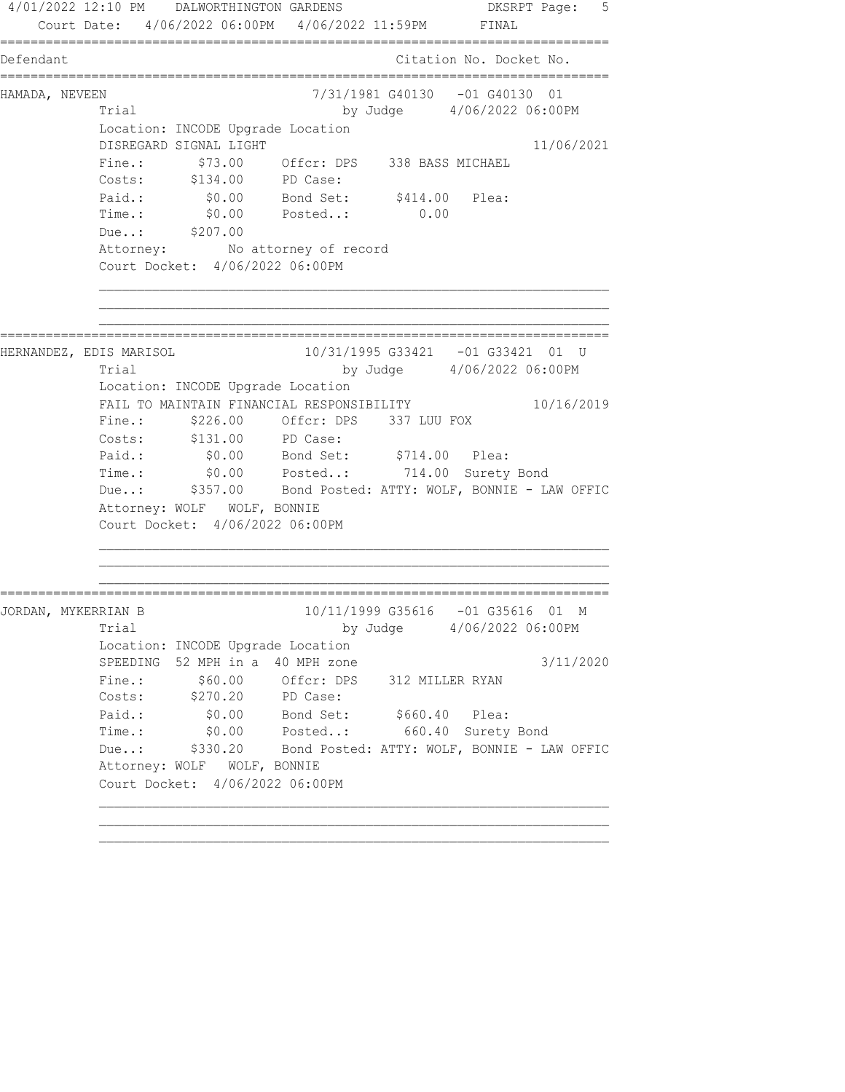4/01/2022 12:10 PM DALWORTHINGTON GARDENS DKSRPT Page: 5 Court Date: 4/06/2022 06:00PM 4/06/2022 11:59PM FINAL ================================================================================ Defendant Citation No. Docket No. ================================================================================ HAMADA, NEVEEN 7/31/1981 G40130 -01 G40130 01 Trial by Judge 4/06/2022 06:00PM Location: INCODE Upgrade Location DISREGARD SIGNAL LIGHT 11/06/2021 Fine.: \$73.00 Offcr: DPS 338 BASS MICHAEL Costs: \$134.00 PD Case: Paid.:  $$0.00$  Bond Set:  $$414.00$  Plea: Time.: \$0.00 Posted..: 0.00 Due..: \$207.00 Attorney: No attorney of record Court Docket: 4/06/2022 06:00PM ================================================================================ HERNANDEZ, EDIS MARISOL 10/31/1995 G33421 -01 G33421 01 U Trial by Judge 4/06/2022 06:00PM Location: INCODE Upgrade Location FAIL TO MAINTAIN FINANCIAL RESPONSIBILITY 10/16/2019 Fine.: \$226.00 Offcr: DPS 337 LUU FOX Costs: \$131.00 PD Case: Paid.: \$0.00 Bond Set: \$714.00 Plea: Time.: \$0.00 Posted..: 714.00 Surety Bond Due..: \$357.00 Bond Posted: ATTY: WOLF, BONNIE - LAW OFFIC Attorney: WOLF WOLF, BONNIE Court Docket: 4/06/2022 06:00PM ================================================================================ JORDAN, MYKERRIAN B 10/11/1999 G35616 -01 G35616 01 M Trial by Judge  $4/06/2022$  06:00PM Location: INCODE Upgrade Location SPEEDING 52 MPH in a 40 MPH zone 3/11/2020 Fine.:  $$60.00$  Offcr: DPS 312 MILLER RYAN Costs: \$270.20 PD Case: Paid.:  $$0.00$  Bond Set:  $$660.40$  Plea: Time.: \$0.00 Posted..: 660.40 Surety Bond Due..: \$330.20 Bond Posted: ATTY: WOLF, BONNIE - LAW OFFIC Attorney: WOLF WOLF, BONNIE Court Docket: 4/06/2022 06:00PM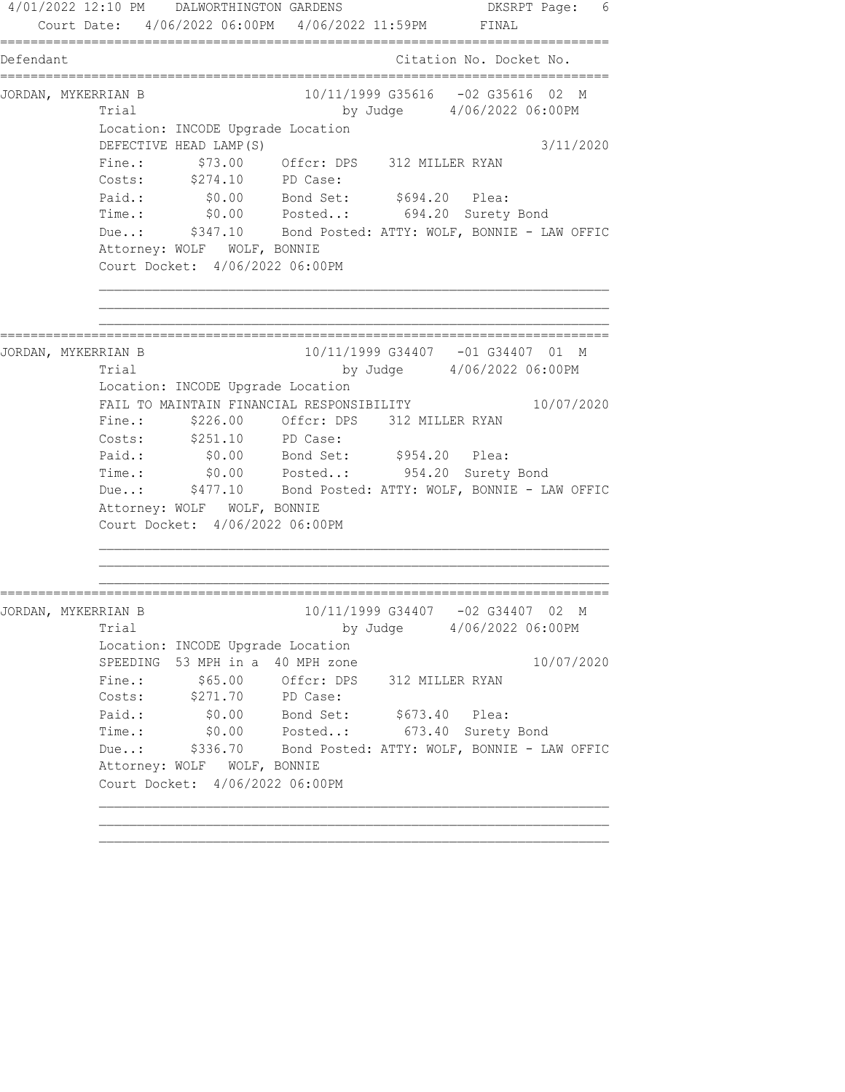4/01/2022 12:10 PM DALWORTHINGTON GARDENS DKSRPT Page: 6 Court Date: 4/06/2022 06:00PM 4/06/2022 11:59PM FINAL ================================================================================ Defendant Citation No. Docket No. ================================================================================ JORDAN, MYKERRIAN B 10/11/1999 G35616 -02 G35616 02 M Trial by Judge  $4/06/2022$  06:00PM Location: INCODE Upgrade Location DEFECTIVE HEAD LAMP(S) 3/11/2020 Fine.: \$73.00 Offcr: DPS 312 MILLER RYAN Costs: \$274.10 PD Case: Paid.:  $$0.00$  Bond Set:  $$694.20$  Plea: Time.: \$0.00 Posted..: 694.20 Surety Bond Due..: \$347.10 Bond Posted: ATTY: WOLF, BONNIE - LAW OFFIC Attorney: WOLF WOLF, BONNIE Court Docket: 4/06/2022 06:00PM ================================================================================ JORDAN, MYKERRIAN B 10/11/1999 G34407 -01 G34407 01 M Trial by Judge 4/06/2022 06:00PM Location: INCODE Upgrade Location FAIL TO MAINTAIN FINANCIAL RESPONSIBILITY 10/07/2020 Fine.:  $$226.00$  Offcr: DPS 312 MILLER RYAN Costs: \$251.10 PD Case: Paid.:  $$0.00$  Bond Set:  $$954.20$  Plea: Time.: \$0.00 Posted..: 954.20 Surety Bond Due..: \$477.10 Bond Posted: ATTY: WOLF, BONNIE - LAW OFFIC Attorney: WOLF WOLF, BONNIE Court Docket: 4/06/2022 06:00PM ================================================================================ JORDAN, MYKERRIAN B 10/11/1999 G34407 -02 G34407 02 M Trial by Judge  $4/06/2022$  06:00PM Location: INCODE Upgrade Location SPEEDING 53 MPH in a 40 MPH zone 10/07/2020 Fine.:  $$65.00$  Offcr: DPS 312 MILLER RYAN Costs: \$271.70 PD Case: Paid.:  $$0.00$  Bond Set:  $$673.40$  Plea: Time.: \$0.00 Posted..: 673.40 Surety Bond Due..: \$336.70 Bond Posted: ATTY: WOLF, BONNIE - LAW OFFIC Attorney: WOLF WOLF, BONNIE Court Docket: 4/06/2022 06:00PM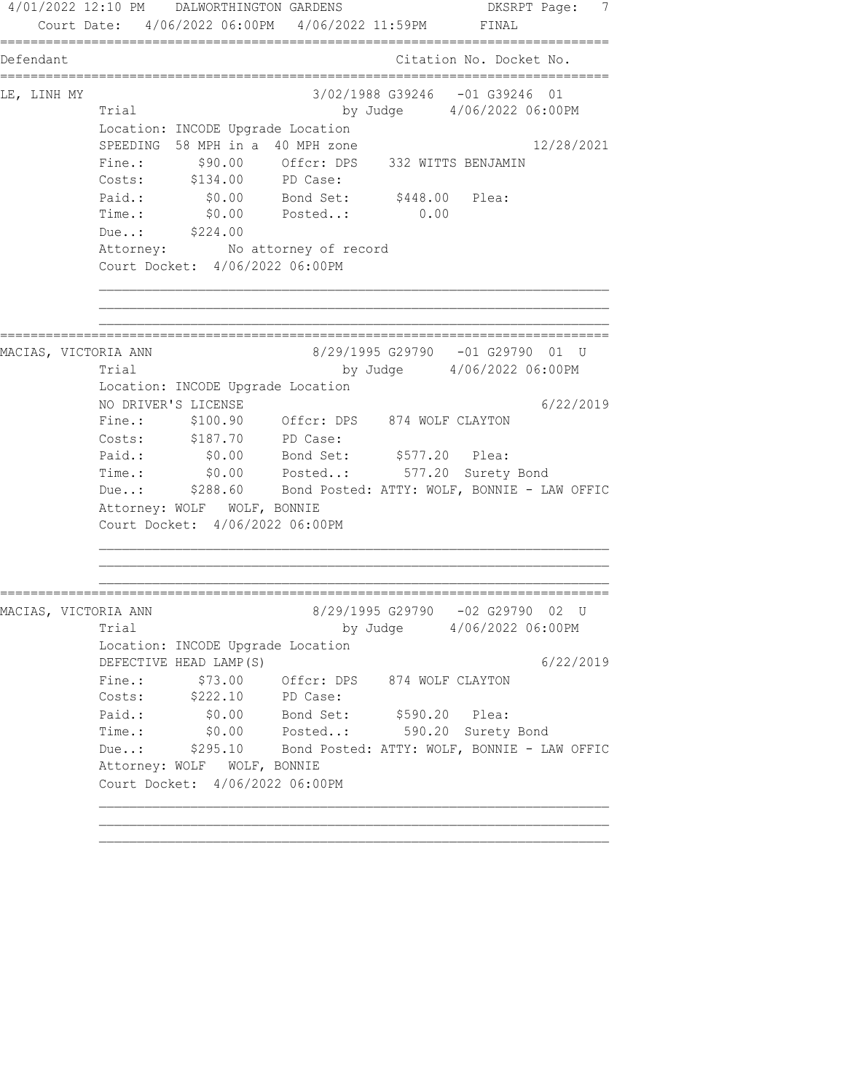4/01/2022 12:10 PM DALWORTHINGTON GARDENS DKSRPT Page: 7 Court Date: 4/06/2022 06:00PM 4/06/2022 11:59PM FINAL ================================================================================ Defendant Citation No. Docket No. ================================================================================ LE, LINH MY 3/02/1988 G39246 -01 G39246 01 Trial by Judge 4/06/2022 06:00PM Location: INCODE Upgrade Location SPEEDING 58 MPH in a 40 MPH zone 12/28/2021 Fine.: \$90.00 Offcr: DPS 332 WITTS BENJAMIN Costs: \$134.00 PD Case: Paid.: \$0.00 Bond Set: \$448.00 Plea: Time.: \$0.00 Posted..: 0.00 Due..: \$224.00 Attorney: No attorney of record Court Docket: 4/06/2022 06:00PM ================================================================================ MACIAS, VICTORIA ANN 8/29/1995 G29790 -01 G29790 01 U Trial by Judge 4/06/2022 06:00PM Location: INCODE Upgrade Location NO DRIVER'S LICENSE 6/22/2019 Fine.: \$100.90 Offcr: DPS 874 WOLF CLAYTON Costs: \$187.70 PD Case: Paid.: \$0.00 Bond Set: \$577.20 Plea: Time.: \$0.00 Posted..: 577.20 Surety Bond Due..: \$288.60 Bond Posted: ATTY: WOLF, BONNIE - LAW OFFIC Attorney: WOLF WOLF, BONNIE Court Docket: 4/06/2022 06:00PM ================================================================================ MACIAS, VICTORIA ANN 8/29/1995 G29790 -02 G29790 02 U Trial by Judge  $4/06/2022$  06:00PM Location: INCODE Upgrade Location DEFECTIVE HEAD LAMP(S) 6/22/2019 Fine.:  $$73.00$  Offcr: DPS 874 WOLF CLAYTON Costs: \$222.10 PD Case: Paid.: \$0.00 Bond Set: \$590.20 Plea: Time.: \$0.00 Posted..: 590.20 Surety Bond Due..: \$295.10 Bond Posted: ATTY: WOLF, BONNIE - LAW OFFIC Attorney: WOLF WOLF, BONNIE Court Docket: 4/06/2022 06:00PM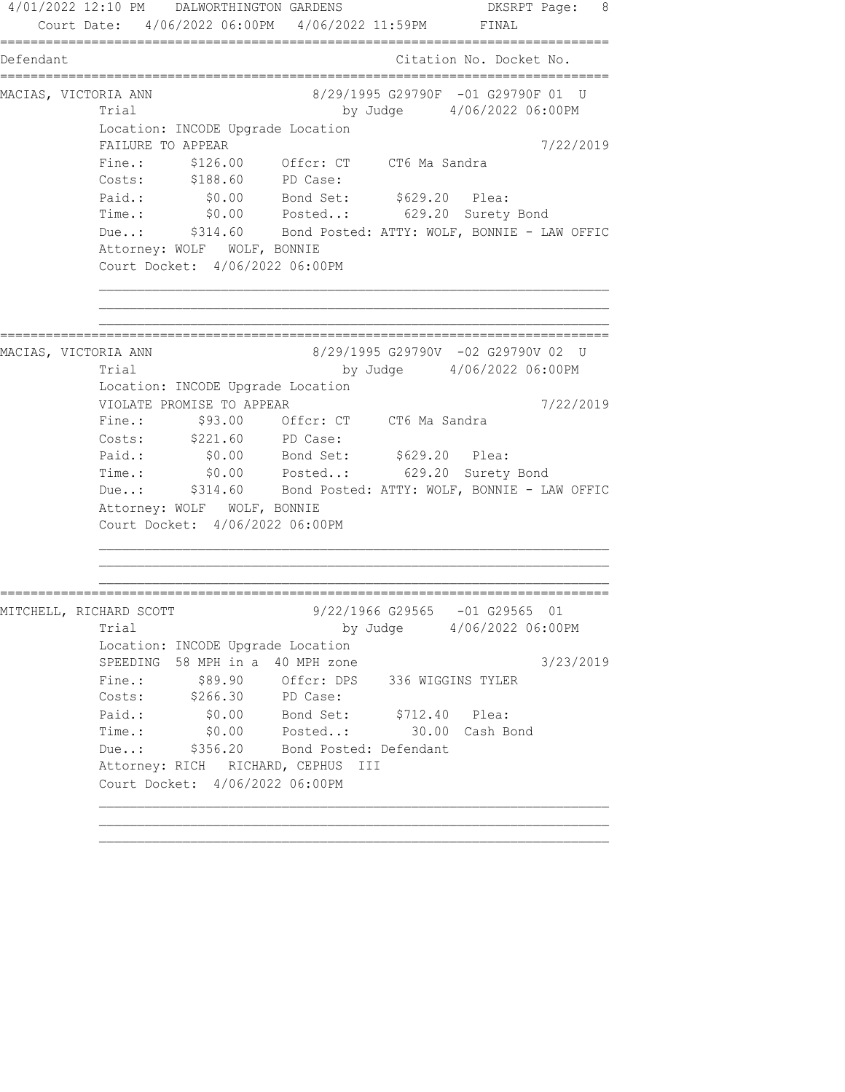4/01/2022 12:10 PM DALWORTHINGTON GARDENS DKSRPT Page: 8 Court Date: 4/06/2022 06:00PM 4/06/2022 11:59PM FINAL ================================================================================ Defendant Citation No. Docket No. ================================================================================ MACIAS, VICTORIA ANN 8/29/1995 G29790F -01 G29790F 01 U Trial by Judge  $4/06/2022$  06:00PM Location: INCODE Upgrade Location FAILURE TO APPEAR 7/22/2019 Fine.: \$126.00 Offcr: CT CT6 Ma Sandra Costs: \$188.60 PD Case: Paid.: \$0.00 Bond Set: \$629.20 Plea: Time.: \$0.00 Posted..: 629.20 Surety Bond Due..: \$314.60 Bond Posted: ATTY: WOLF, BONNIE - LAW OFFIC Attorney: WOLF WOLF, BONNIE Court Docket: 4/06/2022 06:00PM ================================================================================ MACIAS, VICTORIA ANN 8/29/1995 G29790V -02 G29790V 02 U Trial by Judge 4/06/2022 06:00PM Location: INCODE Upgrade Location VIOLATE PROMISE TO APPEAR 7/22/2019 Fine.: \$93.00 Offcr: CT CT6 Ma Sandra Costs: \$221.60 PD Case: Paid.: \$0.00 Bond Set: \$629.20 Plea: Time.: \$0.00 Posted..: 629.20 Surety Bond Due..: \$314.60 Bond Posted: ATTY: WOLF, BONNIE - LAW OFFIC Attorney: WOLF WOLF, BONNIE Court Docket: 4/06/2022 06:00PM ================================================================================ MITCHELL, RICHARD SCOTT 9/22/1966 G29565 -01 G29565 01 Trial by Judge 4/06/2022 06:00PM Location: INCODE Upgrade Location SPEEDING 58 MPH in a 40 MPH zone 3/23/2019 Fine.:  $$89.90$  Offcr: DPS 336 WIGGINS TYLER Costs: \$266.30 PD Case: Paid.: \$0.00 Bond Set: \$712.40 Plea: Time.: \$0.00 Posted..: 30.00 Cash Bond Due..: \$356.20 Bond Posted: Defendant Attorney: RICH RICHARD, CEPHUS III Court Docket: 4/06/2022 06:00PM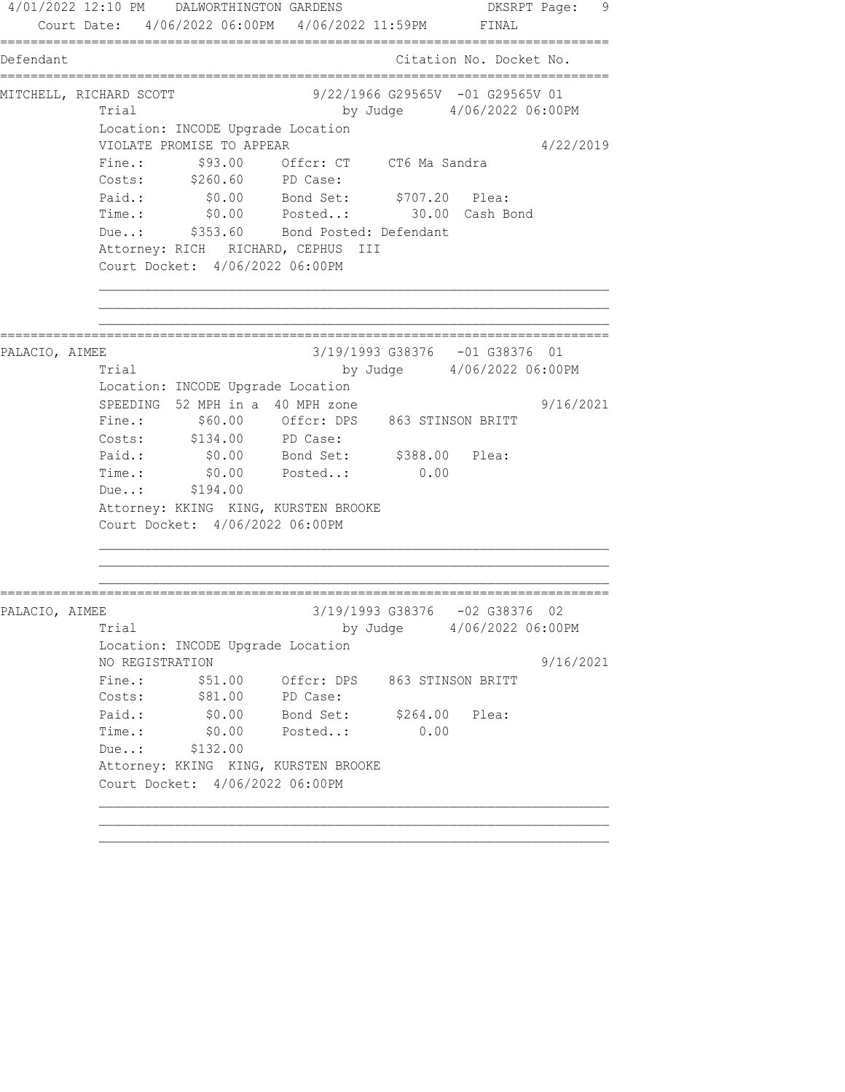4/01/2022 12:10 PM DALWORTHINGTON GARDENS DESRPT Page: 9 Court Date: 4/06/2022 06:00PM 4/06/2022 11:59PM FINAL ================================================================================ Defendant Citation No. Docket No. ================================================================================ MITCHELL, RICHARD SCOTT 9/22/1966 G29565V -01 G29565V 01 Trial by Judge 4/06/2022 06:00PM Location: INCODE Upgrade Location VIOLATE PROMISE TO APPEAR 4/22/2019 Fine.:  $$93.00$  Offcr: CT CT6 Ma Sandra Costs: \$260.60 PD Case: Paid.: \$0.00 Bond Set: \$707.20 Plea: Time.: \$0.00 Posted..: 30.00 Cash Bond Due..: \$353.60 Bond Posted: Defendant Attorney: RICH RICHARD, CEPHUS III Court Docket: 4/06/2022 06:00PM ================================================================================ PALACIO, AIMEE 3/19/1993 G38376 -01 G38376 01 Trial by Judge 4/06/2022 06:00PM Location: INCODE Upgrade Location SPEEDING 52 MPH in a 40 MPH zone  $9/16/2021$  Fine.: \$60.00 Offcr: DPS 863 STINSON BRITT Costs: \$134.00 PD Case: Paid.: \$0.00 Bond Set: \$388.00 Plea: Paid.: \$0.00 Bond Set: \$388.00 Plea:<br>Time.: \$0.00 Posted..: 0.00 Due..: \$194.00 Attorney: KKING KING, KURSTEN BROOKE Court Docket: 4/06/2022 06:00PM ================================================================================ PALACIO, AIMEE 3/19/1993 G38376 -02 G38376 02 Trial by Judge 4/06/2022 06:00PM Location: INCODE Upgrade Location NO REGISTRATION 9/16/2021 Fine.:  $$51.00$  Offcr: DPS 863 STINSON BRITT Costs:  $$81.00$  PD Case: Paid.: \$0.00 Bond Set: \$264.00 Plea: Time.: \$0.00 Posted..: 0.00 Due..: \$132.00 Attorney: KKING KING, KURSTEN BROOKE Court Docket: 4/06/2022 06:00PM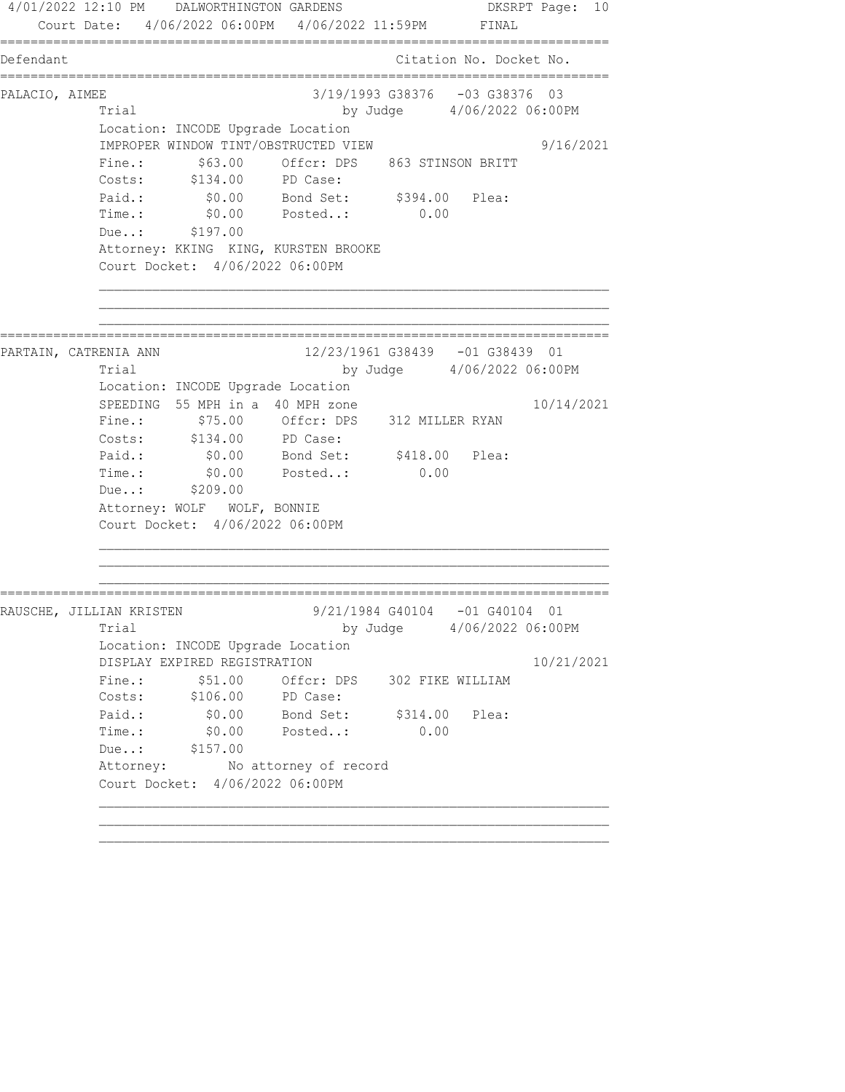4/01/2022 12:10 PM DALWORTHINGTON GARDENS DKSRPT Page: 10 Court Date: 4/06/2022 06:00PM 4/06/2022 11:59PM FINAL ================================================================================ Defendant Citation No. Docket No. ================================================================================ PALACIO, AIMEE 3/19/1993 G38376 -03 G38376 03 Trial by Judge 4/06/2022 06:00PM Location: INCODE Upgrade Location IMPROPER WINDOW TINT/OBSTRUCTED VIEW 9/16/2021 Fine.:  $$63.00$  Offcr: DPS 863 STINSON BRITT Costs: \$134.00 PD Case: Paid.: \$0.00 Bond Set: \$394.00 Plea: Time.: \$0.00 Posted..: 0.00 Due..: \$197.00 Attorney: KKING KING, KURSTEN BROOKE Court Docket: 4/06/2022 06:00PM ================================================================================ PARTAIN, CATRENIA ANN 12/23/1961 G38439 -01 G38439 01 Trial by Judge 4/06/2022 06:00PM Location: INCODE Upgrade Location SPEEDING 55 MPH in a 40 MPH zone  $10/14/2021$  Fine.: \$75.00 Offcr: DPS 312 MILLER RYAN Costs: \$134.00 PD Case: Paid.: \$0.00 Bond Set: \$418.00 Plea: Time.: \$0.00 Posted..: 0.00 Time.: \$0.00<br>Due..: \$209.00 Attorney: WOLF WOLF, BONNIE Court Docket: 4/06/2022 06:00PM ================================================================================ RAUSCHE, JILLIAN KRISTEN 9/21/1984 G40104 -01 G40104 01 Trial by Judge 4/06/2022 06:00PM Location: INCODE Upgrade Location DISPLAY EXPIRED REGISTRATION 10/21/2021 Fine.:  $$51.00$  Offcr: DPS 302 FIKE WILLIAM Costs: \$106.00 PD Case: Paid.:  $\$0.00$  Bond Set:  $\$314.00$  Plea: Time.: \$0.00 Posted..: 0.00 Due..: \$157.00 Attorney: No attorney of record Court Docket: 4/06/2022 06:00PM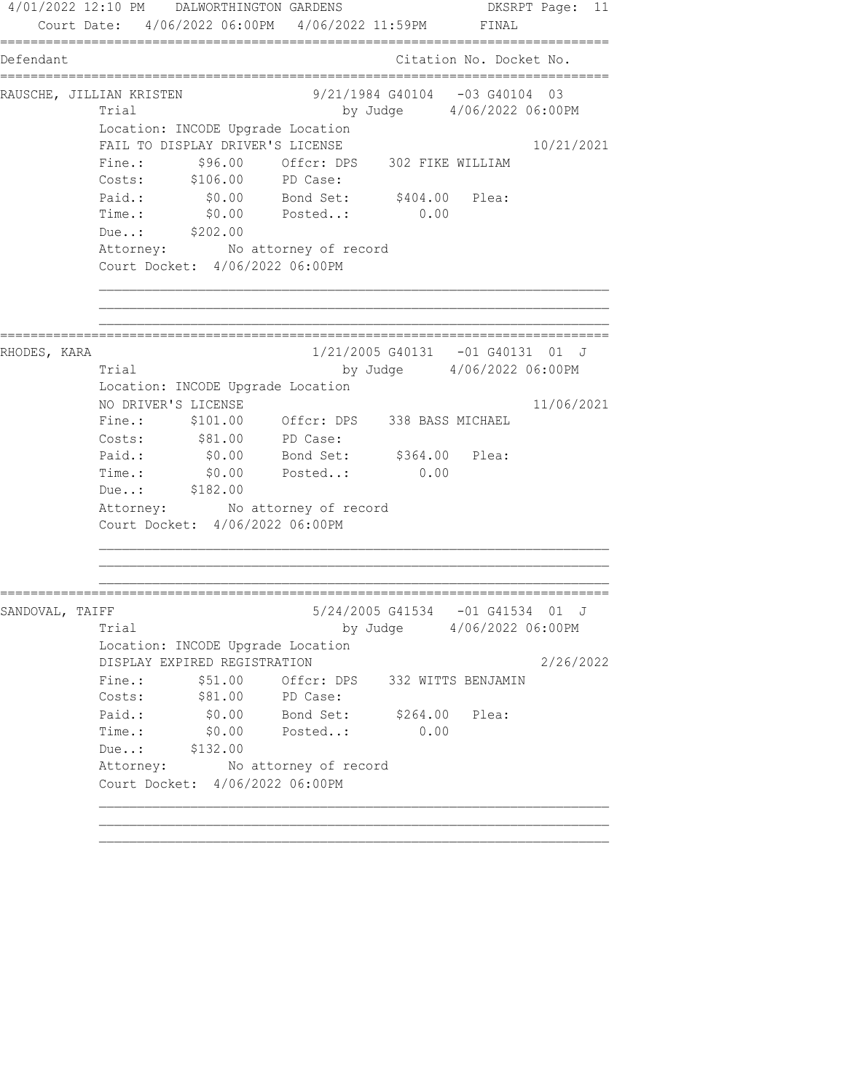4/01/2022 12:10 PM DALWORTHINGTON GARDENS DKSRPT Page: 11 Court Date: 4/06/2022 06:00PM 4/06/2022 11:59PM FINAL ================================================================================ Defendant Citation No. Docket No. ================================================================================ RAUSCHE, JILLIAN KRISTEN 69/21/1984 G40104 -03 G40104 03 Trial by Judge 4/06/2022 06:00PM Location: INCODE Upgrade Location FAIL TO DISPLAY DRIVER'S LICENSE 10/21/2021 Fine.: \$96.00 Offcr: DPS 302 FIKE WILLIAM Costs: \$106.00 PD Case: Paid.: \$0.00 Bond Set: \$404.00 Plea: Time.: \$0.00 Posted..: 0.00 Due..: \$202.00 Attorney: No attorney of record Court Docket: 4/06/2022 06:00PM ================================================================================ RHODES, KARA 1/21/2005 G40131 -01 G40131 01 J Trial by Judge 4/06/2022 06:00PM Location: INCODE Upgrade Location NO DRIVER'S LICENSE 11/06/2021 Fine.: \$101.00 Offcr: DPS 338 BASS MICHAEL Costs:  $$81.00$  PD Case: Paid.: \$0.00 Bond Set: \$364.00 Plea: Time.:  $$0.00$  Posted..: 0.00 Due..: \$182.00 Attorney: No attorney of record Court Docket: 4/06/2022 06:00PM ================================================================================ SANDOVAL, TAIFF 6 6/24/2005 G41534 -01 G41534 01 J Trial by Judge 4/06/2022 06:00PM Location: INCODE Upgrade Location DISPLAY EXPIRED REGISTRATION 2/26/2022 Fine.: \$51.00 Offcr: DPS 332 WITTS BENJAMIN Costs:  $$81.00$  PD Case: Paid.: \$0.00 Bond Set: \$264.00 Plea: Time.: \$0.00 Posted..: 0.00 Due..: \$132.00 Attorney: No attorney of record Court Docket: 4/06/2022 06:00PM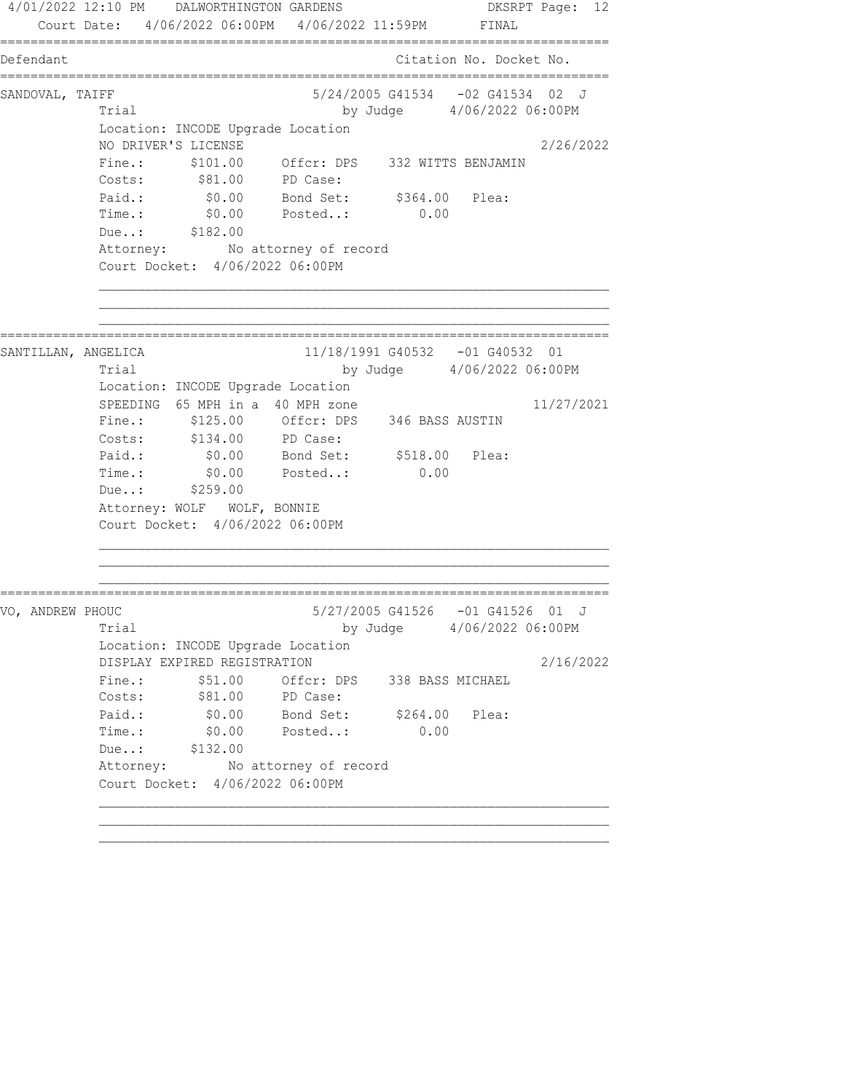4/01/2022 12:10 PM DALWORTHINGTON GARDENS DKSRPT Page: 12 Court Date: 4/06/2022 06:00PM 4/06/2022 11:59PM FINAL ================================================================================ Defendant Citation No. Docket No. ================================================================================ SANDOVAL, TAIFF 3/24/2005 G41534 -02 G41534 02 J Trial by Judge 4/06/2022 06:00PM Location: INCODE Upgrade Location NO DRIVER'S LICENSE 2/26/2022 Fine.: \$101.00 Offcr: DPS 332 WITTS BENJAMIN Costs:  $$81.00$  PD Case: Paid.: \$0.00 Bond Set: \$364.00 Plea: Time.: \$0.00 Posted..: 0.00 Due..: \$182.00 Attorney: No attorney of record Court Docket: 4/06/2022 06:00PM ================================================================================ SANTILLAN, ANGELICA 11/18/1991 G40532 -01 G40532 01 Trial by Judge 4/06/2022 06:00PM Location: INCODE Upgrade Location SPEEDING  $65$  MPH in a 40 MPH zone  $11/27/2021$  Fine.: \$125.00 Offcr: DPS 346 BASS AUSTIN Costs: \$134.00 PD Case: Paid.: \$0.00 Bond Set: \$518.00 Plea: Time.:  $$0.00$  Posted..: 0.00 Time.: \$0.00<br>Due..: \$259.00 Attorney: WOLF WOLF, BONNIE Court Docket: 4/06/2022 06:00PM ================================================================================ VO, ANDREW PHOUC  $5/27/2005$  G41526 -01 G41526 01 J Trial by Judge 4/06/2022 06:00PM Location: INCODE Upgrade Location DISPLAY EXPIRED REGISTRATION 2/16/2022 Fine.: \$51.00 Offcr: DPS 338 BASS MICHAEL Costs:  $$81.00$  PD Case: Paid.: \$0.00 Bond Set: \$264.00 Plea: Time.: \$0.00 Posted..: 0.00 Due..: \$132.00 Attorney: No attorney of record Court Docket: 4/06/2022 06:00PM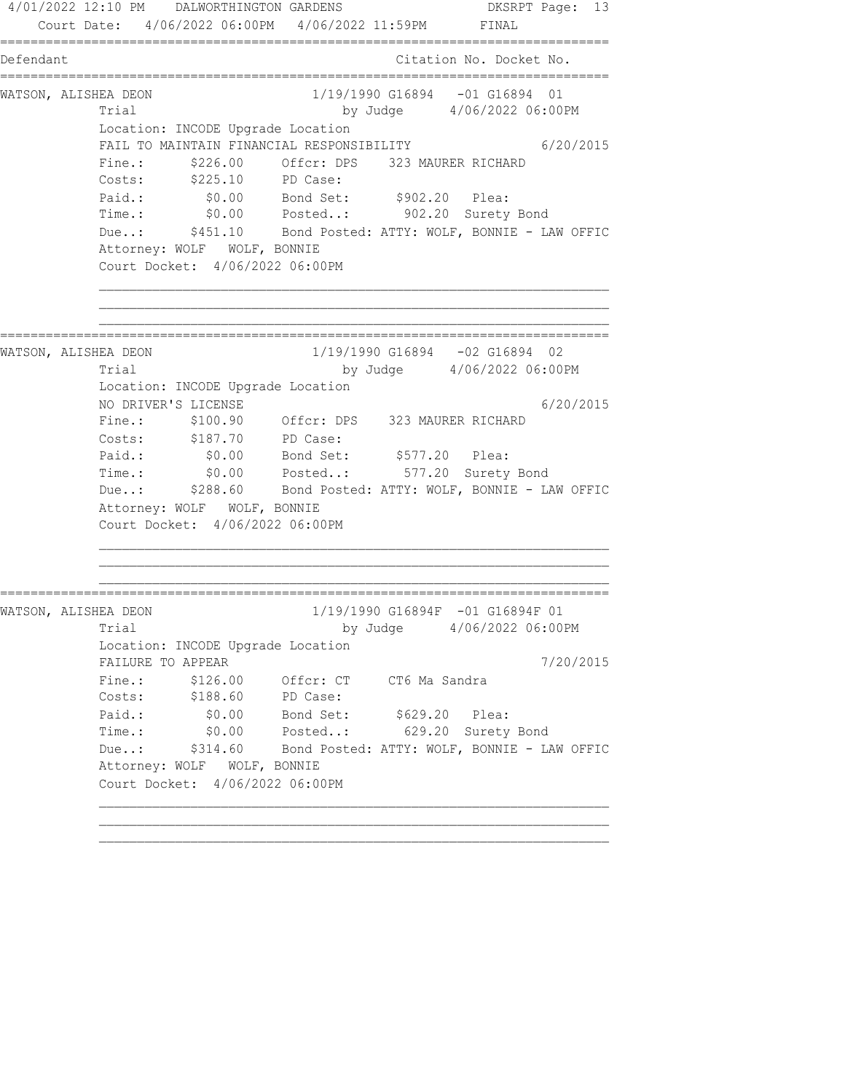4/01/2022 12:10 PM DALWORTHINGTON GARDENS DKSRPT Page: 13 Court Date: 4/06/2022 06:00PM 4/06/2022 11:59PM FINAL ================================================================================ Defendant Citation No. Docket No. ================================================================================ WATSON, ALISHEA DEON 1/19/1990 G16894 -01 G16894 01 Trial by Judge  $4/06/2022$  06:00PM Location: INCODE Upgrade Location FAIL TO MAINTAIN FINANCIAL RESPONSIBILITY 6/20/2015 Fine.:  $$226.00$  Offcr: DPS 323 MAURER RICHARD Costs: \$225.10 PD Case: Paid.: \$0.00 Bond Set: \$902.20 Plea: Time.: \$0.00 Posted..: 902.20 Surety Bond Due..: \$451.10 Bond Posted: ATTY: WOLF, BONNIE - LAW OFFIC Attorney: WOLF WOLF, BONNIE Court Docket: 4/06/2022 06:00PM ================================================================================ WATSON, ALISHEA DEON 1/19/1990 G16894 -02 G16894 02 Trial by Judge 4/06/2022 06:00PM Location: INCODE Upgrade Location NO DRIVER'S LICENSE 6/20/2015 Fine.: \$100.90 Offcr: DPS 323 MAURER RICHARD Costs: \$187.70 PD Case: Paid.: \$0.00 Bond Set: \$577.20 Plea: Time.: \$0.00 Posted..: 577.20 Surety Bond Due..: \$288.60 Bond Posted: ATTY: WOLF, BONNIE - LAW OFFIC Attorney: WOLF WOLF, BONNIE Court Docket: 4/06/2022 06:00PM ================================================================================ WATSON, ALISHEA DEON 1/19/1990 G16894F -01 G16894F 01 Trial by Judge 4/06/2022 06:00PM Location: INCODE Upgrade Location FAILURE TO APPEAR  $7/20/2015$ Fine.: \$126.00 Offcr: CT CT6 Ma Sandra Costs: \$188.60 PD Case: Paid.: \$0.00 Bond Set: \$629.20 Plea: Time.: \$0.00 Posted..: 629.20 Surety Bond Due..: \$314.60 Bond Posted: ATTY: WOLF, BONNIE - LAW OFFIC Attorney: WOLF WOLF, BONNIE Court Docket: 4/06/2022 06:00PM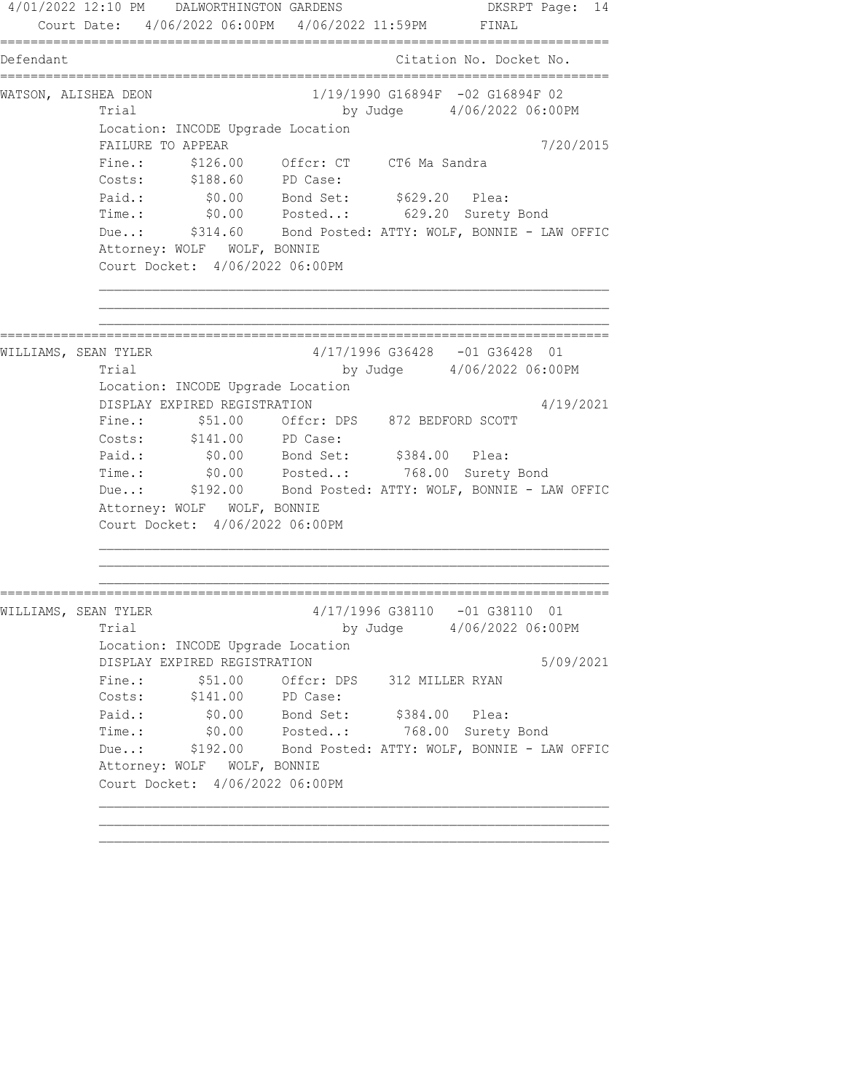4/01/2022 12:10 PM DALWORTHINGTON GARDENS DKSRPT Page: 14 Court Date: 4/06/2022 06:00PM 4/06/2022 11:59PM FINAL ================================================================================ Defendant Citation No. Docket No. ================================================================================ WATSON, ALISHEA DEON 1/19/1990 G16894F -02 G16894F 02 Trial by Judge  $4/06/2022$  06:00PM Location: INCODE Upgrade Location FAILURE TO APPEAR 7/20/2015 Fine.: \$126.00 Offcr: CT CT6 Ma Sandra Costs: \$188.60 PD Case: Paid.: \$0.00 Bond Set: \$629.20 Plea: Time.: \$0.00 Posted..: 629.20 Surety Bond Due..: \$314.60 Bond Posted: ATTY: WOLF, BONNIE - LAW OFFIC Attorney: WOLF WOLF, BONNIE Court Docket: 4/06/2022 06:00PM ================================================================================ WILLIAMS, SEAN TYLER 4/17/1996 G36428 -01 G36428 01 Trial by Judge 4/06/2022 06:00PM Location: INCODE Upgrade Location DISPLAY EXPIRED REGISTRATION 4/19/2021 Fine.: \$51.00 Offcr: DPS 872 BEDFORD SCOTT Costs: \$141.00 PD Case: Paid.: \$0.00 Bond Set: \$384.00 Plea: Time.: \$0.00 Posted..: 768.00 Surety Bond Due..: \$192.00 Bond Posted: ATTY: WOLF, BONNIE - LAW OFFIC Attorney: WOLF WOLF, BONNIE Court Docket: 4/06/2022 06:00PM ================================================================================ WILLIAMS, SEAN TYLER 4/17/1996 G38110 -01 G38110 01 Trial by Judge 4/06/2022 06:00PM Location: INCODE Upgrade Location DISPLAY EXPIRED REGISTRATION 5/09/2021 Fine.:  $$51.00$  Offcr: DPS 312 MILLER RYAN Costs: \$141.00 PD Case: Paid.: \$0.00 Bond Set: \$384.00 Plea: Time.: \$0.00 Posted..: 768.00 Surety Bond Due..: \$192.00 Bond Posted: ATTY: WOLF, BONNIE - LAW OFFIC Attorney: WOLF WOLF, BONNIE Court Docket: 4/06/2022 06:00PM